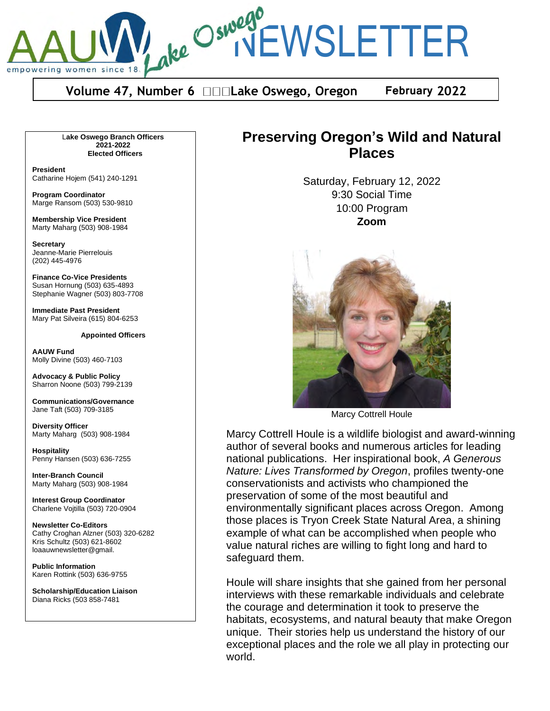

**Volume 47, Number 6 □□□Lake Oswego, Oregon February 2022** 

L**ake Oswego Branch Officers 2021-2022 Elected Officers**

**President** Catharine Hojem (541) 240-1291

**Program Coordinator** Marge Ransom (503) 530-9810

**Membership Vice President** Marty Maharg (503) 908-1984

**Secretary** Jeanne-Marie Pierrelouis (202) 445-4976

**Finance Co-Vice Presidents** Susan Hornung (503) 635-4893 Stephanie Wagner (503) 803-7708

**Immediate Past President** Mary Pat Silveira (615) 804-6253

**Appointed Officers**

**AAUW Fund** Molly Divine (503) 460-7103

**Advocacy & Public Policy** Sharron Noone (503) 799-2139

**Communications/Governance** Jane Taft (503) 709-3185

**Diversity Officer** Marty Maharg (503) 908-1984

**Hospitality** Penny Hansen (503) 636-7255

**Inter-Branch Council** Marty Maharg (503) 908-1984

**Interest Group Coordinator** Charlene Vojtilla (503) 720-0904

**Newsletter Co-Editors** Cathy Croghan Alzner (503) 320-6282 Kris Schultz (503) 621-8602 loaauwnewsletter@gmail.

**Public Information** Karen Rottink (503) 636-9755

**Scholarship/Education Liaison**  Diana Ricks (503 858-7481

# **Preserving Oregon's Wild and Natural Places**

Saturday, February 12, 2022 9:30 Social Time 10:00 Program **Zoom**



Marcy Cottrell Houle

Marcy Cottrell Houle is a wildlife biologist and award-winning author of several books and numerous articles for leading national publications. Her inspirational book, *A Generous Nature: Lives Transformed by Oregon*, profiles twenty-one conservationists and activists who championed the preservation of some of the most beautiful and environmentally significant places across Oregon. Among those places is Tryon Creek State Natural Area, a shining example of what can be accomplished when people who value natural riches are willing to fight long and hard to safeguard them.

Houle will share insights that she gained from her personal interviews with these remarkable individuals and celebrate the courage and determination it took to preserve the habitats, ecosystems, and natural beauty that make Oregon unique. Their stories help us understand the history of our exceptional places and the role we all play in protecting our world.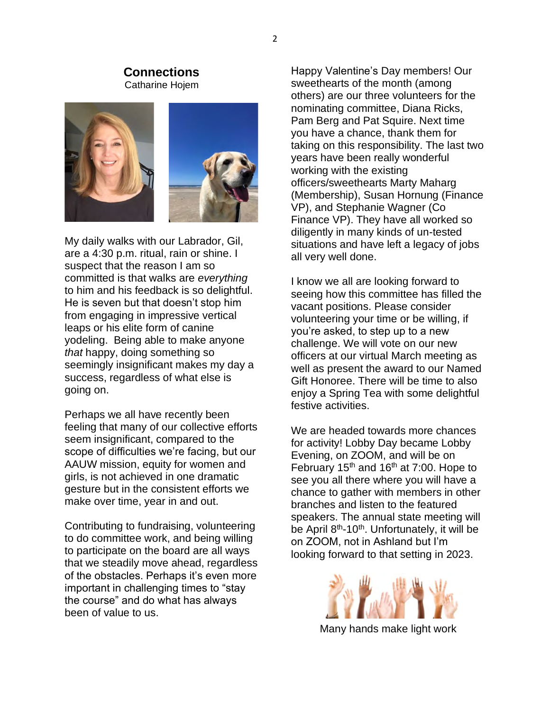#### **Connections** Catharine Hojem



My daily walks with our Labrador, Gil, are a 4:30 p.m. ritual, rain or shine. I suspect that the reason I am so committed is that walks are *everything* to him and his feedback is so delightful. He is seven but that doesn't stop him from engaging in impressive vertical leaps or his elite form of canine yodeling. Being able to make anyone *that* happy, doing something so seemingly insignificant makes my day a success, regardless of what else is going on.

Perhaps we all have recently been feeling that many of our collective efforts seem insignificant, compared to the scope of difficulties we're facing, but our AAUW mission, equity for women and girls, is not achieved in one dramatic gesture but in the consistent efforts we make over time, year in and out.

Contributing to fundraising, volunteering to do committee work, and being willing to participate on the board are all ways that we steadily move ahead, regardless of the obstacles. Perhaps it's even more important in challenging times to "stay the course" and do what has always been of value to us.

Happy Valentine's Day members! Our sweethearts of the month (among others) are our three volunteers for the nominating committee, Diana Ricks, Pam Berg and Pat Squire. Next time you have a chance, thank them for taking on this responsibility. The last two years have been really wonderful working with the existing officers/sweethearts Marty Maharg (Membership), Susan Hornung (Finance VP), and Stephanie Wagner (Co Finance VP). They have all worked so diligently in many kinds of un-tested situations and have left a legacy of jobs all very well done.

I know we all are looking forward to seeing how this committee has filled the vacant positions. Please consider volunteering your time or be willing, if you're asked, to step up to a new challenge. We will vote on our new officers at our virtual March meeting as well as present the award to our Named Gift Honoree. There will be time to also enjoy a Spring Tea with some delightful festive activities.

We are headed towards more chances for activity! Lobby Day became Lobby Evening, on ZOOM, and will be on February 15<sup>th</sup> and 16<sup>th</sup> at 7:00. Hope to see you all there where you will have a chance to gather with members in other branches and listen to the featured speakers. The annual state meeting will be April  $8<sup>th</sup>$ -10<sup>th</sup>. Unfortunately, it will be on ZOOM, not in Ashland but I'm looking forward to that setting in 2023.



Many hands make light work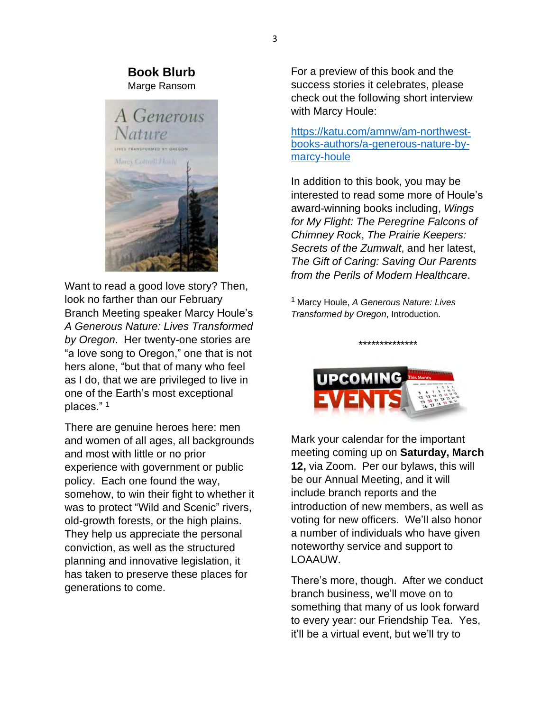#### **Book Blurb** Marge Ransom



Want to read a good love story? Then, look no farther than our February Branch Meeting speaker Marcy Houle's *A Generous Nature: Lives Transformed by Oregon*. Her twenty-one stories are "a love song to Oregon," one that is not hers alone, "but that of many who feel as I do, that we are privileged to live in one of the Earth's most exceptional places." $1$ 

There are genuine heroes here: men and women of all ages, all backgrounds and most with little or no prior experience with government or public policy. Each one found the way, somehow, to win their fight to whether it was to protect "Wild and Scenic" rivers, old-growth forests, or the high plains. They help us appreciate the personal conviction, as well as the structured planning and innovative legislation, it has taken to preserve these places for generations to come.

For a preview of this book and the success stories it celebrates, please check out the following short interview with Marcy Houle:

https://katu.com/amnw/am-northwestbooks-authors/a-generous-nature-bymarcy-houle

In addition to this book, you may be interested to read some more of Houle's award-winning books including, *Wings for My Flight: The Peregrine Falcons of Chimney Rock*, *The Prairie Keepers: Secrets of the Zumwalt*, and her latest, *The Gift of Caring: Saving Our Parents from the Perils of Modern Healthcare*.

<sup>1</sup> Marcy Houle, *A Generous Nature: Lives Transformed by Oregon*, Introduction.



\*\*\*\*\*\*\*\*\*\*\*\*\*\*

Mark your calendar for the important meeting coming up on **Saturday, March 12,** via Zoom. Per our bylaws, this will be our Annual Meeting, and it will include branch reports and the introduction of new members, as well as voting for new officers. We'll also honor a number of individuals who have given noteworthy service and support to LOAAUW.

There's more, though. After we conduct branch business, we'll move on to something that many of us look forward to every year: our Friendship Tea. Yes, it'll be a virtual event, but we'll try to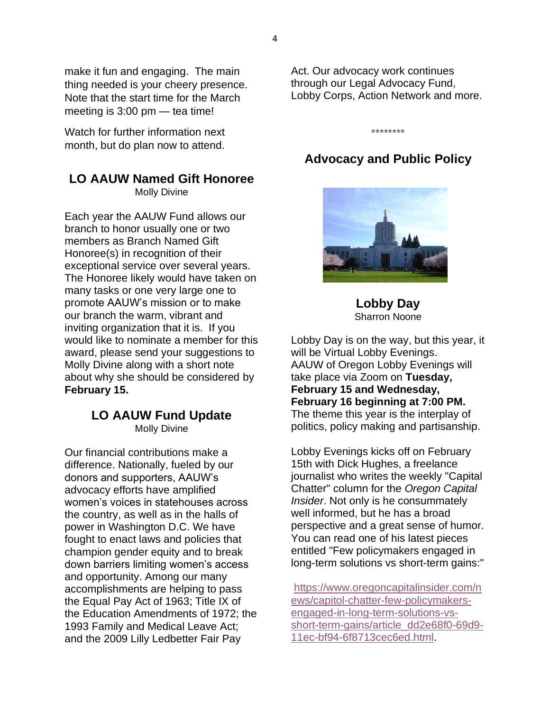make it fun and engaging. The main thing needed is your cheery presence. Note that the start time for the March meeting is  $3:00 \text{ pm}$  - tea time!

Watch for further information next month, but do plan now to attend.

## **LO AAUW Named Gift Honoree**

Molly Divine

Each year the AAUW Fund allows our branch to honor usually one or two members as Branch Named Gift Honoree(s) in recognition of their exceptional service over several years. The Honoree likely would have taken on many tasks or one very large one to promote AAUW's mission or to make our branch the warm, vibrant and inviting organization that it is. If you would like to nominate a member for this award, please send your suggestions to Molly Divine along with a short note about why she should be considered by **February 15.**

# **LO AAUW Fund Update**

Molly Divine

Our financial contributions make a difference. Nationally, fueled by our donors and supporters, AAUW's advocacy efforts have amplified women's voices in statehouses across the country, as well as in the halls of power in Washington D.C. We have fought to enact laws and policies that champion gender equity and to break down barriers limiting women's access and opportunity. Among our many accomplishments are helping to pass the Equal Pay Act of 1963; Title IX of the Education Amendments of 1972; the 1993 Family and Medical Leave Act; and the 2009 Lilly Ledbetter Fair Pay

Act. Our advocacy work continues through our Legal Advocacy Fund, Lobby Corps, Action Network and more.

\*\*\*\*\*\*\*\*

# **Advocacy and Public Policy**



**Lobby Day**  Sharron Noone

Lobby Day is on the way, but this year, it will be Virtual Lobby Evenings. AAUW of Oregon Lobby Evenings will take place via Zoom on **Tuesday, February 15 and Wednesday, February 16 beginning at 7:00 PM.**  The theme this year is the interplay of politics, policy making and partisanship.

Lobby Evenings kicks off on February 15th with Dick Hughes, a freelance journalist who writes the weekly "Capital Chatter" column for the *Oregon Capital Insider*. Not only is he consummately well informed, but he has a broad perspective and a great sense of humor. You can read one of his latest pieces entitled "Few policymakers engaged in long-term solutions vs short-term gains:"

https://www.oregoncapitalinsider.com/n ews/capitol-chatter-few-policymakersengaged-in-long-term-solutions-vsshort-term-gains/article\_dd2e68f0-69d9- 11ec-bf94-6f8713cec6ed.html.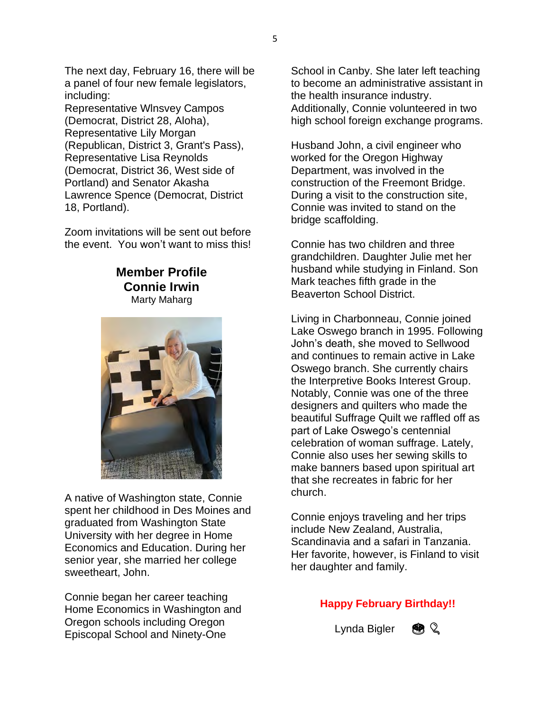The next day, February 16, there will be a panel of four new female legislators, including:

Representative Wlnsvey Campos (Democrat, District 28, Aloha), Representative Lily Morgan (Republican, District 3, Grant's Pass), Representative Lisa Reynolds (Democrat, District 36, West side of Portland) and Senator Akasha Lawrence Spence (Democrat, District 18, Portland).

Zoom invitations will be sent out before the event. You won't want to miss this!

## **Member Profile Connie Irwin** Marty Maharg



A native of Washington state, Connie spent her childhood in Des Moines and graduated from Washington State University with her degree in Home Economics and Education. During her senior year, she married her college sweetheart, John.

Connie began her career teaching Home Economics in Washington and Oregon schools including Oregon Episcopal School and Ninety-One

School in Canby. She later left teaching to become an administrative assistant in the health insurance industry. Additionally, Connie volunteered in two high school foreign exchange programs.

Husband John, a civil engineer who worked for the Oregon Highway Department, was involved in the construction of the Freemont Bridge. During a visit to the construction site, Connie was invited to stand on the bridge scaffolding.

Connie has two children and three grandchildren. Daughter Julie met her husband while studying in Finland. Son Mark teaches fifth grade in the Beaverton School District.

Living in Charbonneau, Connie joined Lake Oswego branch in 1995. Following John's death, she moved to Sellwood and continues to remain active in Lake Oswego branch. She currently chairs the Interpretive Books Interest Group. Notably, Connie was one of the three designers and quilters who made the beautiful Suffrage Quilt we raffled off as part of Lake Oswego's centennial celebration of woman suffrage. Lately, Connie also uses her sewing skills to make banners based upon spiritual art that she recreates in fabric for her church.

Connie enjoys traveling and her trips include New Zealand, Australia, Scandinavia and a safari in Tanzania. Her favorite, however, is Finland to visit her daughter and family.

## **Happy February Birthday!!**

Lynda Bigler  $\mathbb{R} \setminus \mathbb{Q}$ 

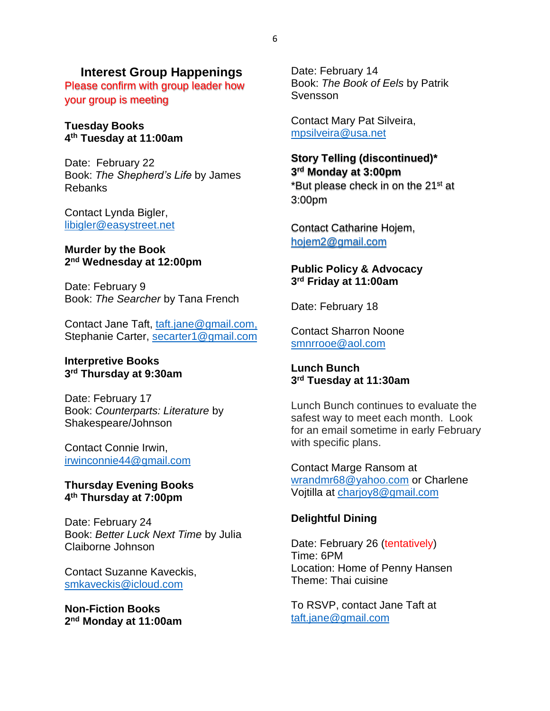#### **Interest Group Happenings**

Please confirm with group leader how your group is meeting

#### **Tuesday Books 4th Tuesday at 11:00am**

Date: February 22 Book: *The Shepherd's Life* by James Rebanks

Contact Lynda Bigler, libigler@easystreet.net

#### **Murder by the Book 2nd Wednesday at 12:00pm**

Date: February 9 Book: *The Searcher* by Tana French

Contact Jane Taft, taft.jane@gmail.com, Stephanie Carter, secarter1@gmail.com

#### **Interpretive Books 3rd Thursday at 9:30am**

Date: February 17 Book: *Counterparts: Literature* by Shakespeare/Johnson

Contact Connie Irwin, irwinconnie44@gmail.com

#### **Thursday Evening Books 4th Thursday at 7:00pm**

Date: February 24 Book: *Better Luck Next Time* by Julia Claiborne Johnson

Contact Suzanne Kaveckis, smkaveckis@icloud.com

**Non-Fiction Books 2nd Monday at 11:00am** Date: February 14 Book: *The Book of Eels* by Patrik Svensson

Contact Mary Pat Silveira, mpsilveira@usa.net

## **Story Telling (discontinued)\* 3rd Monday at 3:00pm** \*But please check in on the 21<sup>st</sup> at 3:00pm

Contact Catharine Hojem, hojem2@gmail.com

#### **Public Policy & Advocacy 3rd Friday at 11:00am**

Date: February 18

Contact Sharron Noone smnrrooe@aol.com

#### **Lunch Bunch 3rd Tuesday at 11:30am**

Lunch Bunch continues to evaluate the safest way to meet each month. Look for an email sometime in early February with specific plans.

Contact Marge Ransom at wrandmr68@yahoo.com or Charlene Vojtilla at charjoy8@gmail.com

#### **Delightful Dining**

Date: February 26 (tentatively) Time: 6PM Location: Home of Penny Hansen Theme: Thai cuisine

To RSVP, contact Jane Taft at taft.jane@gmail.com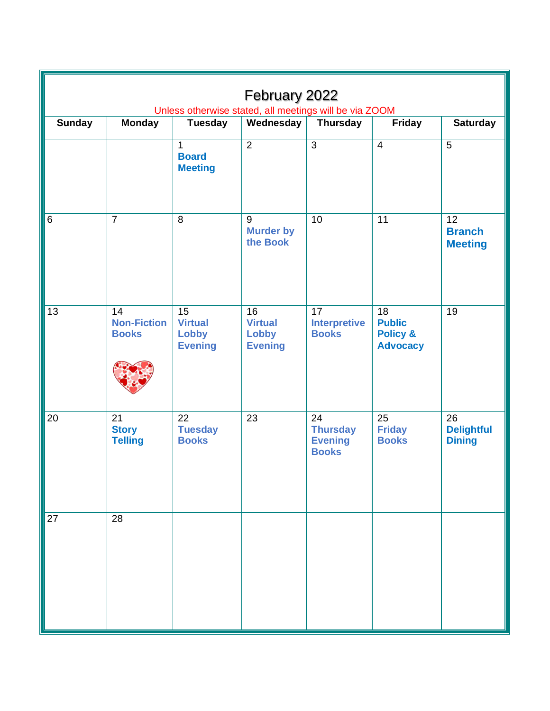| February 2022<br>Unless otherwise stated, all meetings will be via ZOOM |                                          |                                                        |                                                        |                                                         |                                                               |                                          |  |  |  |  |
|-------------------------------------------------------------------------|------------------------------------------|--------------------------------------------------------|--------------------------------------------------------|---------------------------------------------------------|---------------------------------------------------------------|------------------------------------------|--|--|--|--|
| <b>Sunday</b>                                                           | <b>Monday</b>                            | <b>Tuesday</b>                                         | Wednesday                                              | <b>Thursday</b>                                         | <b>Friday</b>                                                 | <b>Saturday</b>                          |  |  |  |  |
|                                                                         |                                          | $\mathbf{1}$<br><b>Board</b><br><b>Meeting</b>         | $\overline{2}$                                         | $\overline{3}$                                          | $\overline{4}$                                                | 5                                        |  |  |  |  |
| $\,6$                                                                   | $\overline{7}$                           | $\,8\,$                                                | 9<br><b>Murder by</b><br>the Book                      | 10                                                      | 11                                                            | 12<br><b>Branch</b><br><b>Meeting</b>    |  |  |  |  |
| 13                                                                      | 14<br><b>Non-Fiction</b><br><b>Books</b> | 15<br><b>Virtual</b><br><b>Lobby</b><br><b>Evening</b> | 16<br><b>Virtual</b><br><b>Lobby</b><br><b>Evening</b> | 17<br><b>Interpretive</b><br><b>Books</b>               | 18<br><b>Public</b><br><b>Policy &amp;</b><br><b>Advocacy</b> | 19                                       |  |  |  |  |
| 20                                                                      | 21<br><b>Story</b><br><b>Telling</b>     | 22<br><b>Tuesday</b><br><b>Books</b>                   | 23                                                     | 24<br><b>Thursday</b><br><b>Evening</b><br><b>Books</b> | 25<br><b>Friday</b><br><b>Books</b>                           | 26<br><b>Delightful</b><br><b>Dining</b> |  |  |  |  |
| 27                                                                      | 28                                       |                                                        |                                                        |                                                         |                                                               |                                          |  |  |  |  |